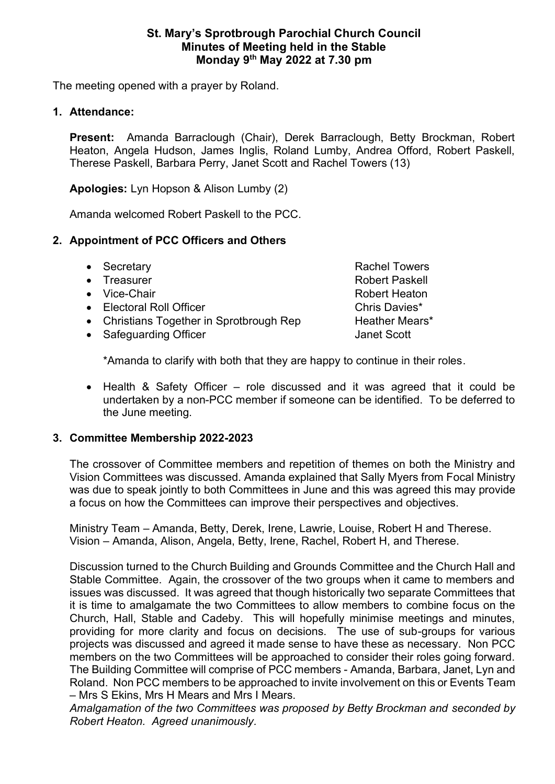## **St. Mary's Sprotbrough Parochial Church Council Minutes of Meeting held in the Stable Monday 9th May 2022 at 7.30 pm**

The meeting opened with a prayer by Roland.

### **1. Attendance:**

**Present:** Amanda Barraclough (Chair), Derek Barraclough, Betty Brockman, Robert Heaton, Angela Hudson, James Inglis, Roland Lumby, Andrea Offord, Robert Paskell, Therese Paskell, Barbara Perry, Janet Scott and Rachel Towers (13)

**Apologies:** Lyn Hopson & Alison Lumby (2)

Amanda welcomed Robert Paskell to the PCC.

## **2. Appointment of PCC Officers and Others**

| • Secretary                              | <b>Rachel Towers</b>  |
|------------------------------------------|-----------------------|
| • Treasurer                              | <b>Robert Paskell</b> |
| • Vice-Chair                             | <b>Robert Heaton</b>  |
| • Electoral Roll Officer                 | Chris Davies*         |
| • Christians Together in Sprotbrough Rep | Heather Mears*        |
| • Safeguarding Officer                   | <b>Janet Scott</b>    |
|                                          |                       |

\*Amanda to clarify with both that they are happy to continue in their roles.

• Health & Safety Officer – role discussed and it was agreed that it could be undertaken by a non-PCC member if someone can be identified. To be deferred to the June meeting.

#### **3. Committee Membership 2022-2023**

The crossover of Committee members and repetition of themes on both the Ministry and Vision Committees was discussed. Amanda explained that Sally Myers from Focal Ministry was due to speak jointly to both Committees in June and this was agreed this may provide a focus on how the Committees can improve their perspectives and objectives.

Ministry Team – Amanda, Betty, Derek, Irene, Lawrie, Louise, Robert H and Therese. Vision – Amanda, Alison, Angela, Betty, Irene, Rachel, Robert H, and Therese.

Discussion turned to the Church Building and Grounds Committee and the Church Hall and Stable Committee. Again, the crossover of the two groups when it came to members and issues was discussed. It was agreed that though historically two separate Committees that it is time to amalgamate the two Committees to allow members to combine focus on the Church, Hall, Stable and Cadeby. This will hopefully minimise meetings and minutes, providing for more clarity and focus on decisions. The use of sub-groups for various projects was discussed and agreed it made sense to have these as necessary. Non PCC members on the two Committees will be approached to consider their roles going forward. The Building Committee will comprise of PCC members - Amanda, Barbara, Janet, Lyn and Roland. Non PCC members to be approached to invite involvement on this or Events Team – Mrs S Ekins, Mrs H Mears and Mrs I Mears.

*Amalgamation of the two Committees was proposed by Betty Brockman and seconded by Robert Heaton. Agreed unanimously.*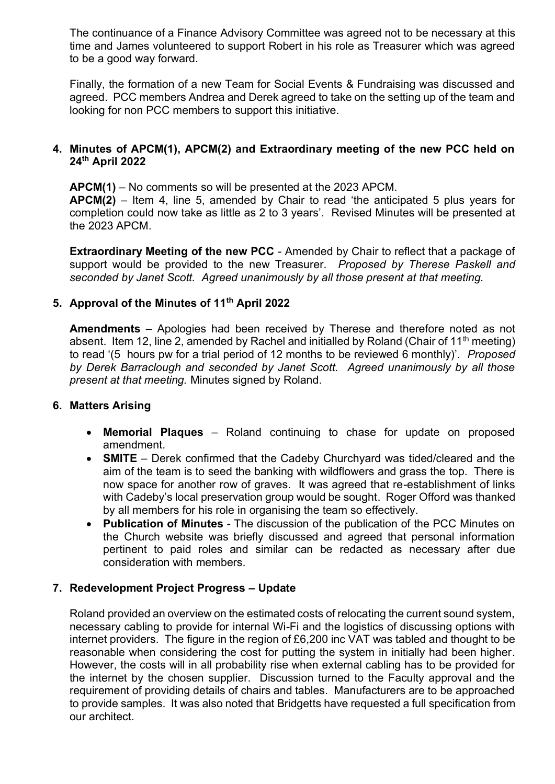The continuance of a Finance Advisory Committee was agreed not to be necessary at this time and James volunteered to support Robert in his role as Treasurer which was agreed to be a good way forward.

Finally, the formation of a new Team for Social Events & Fundraising was discussed and agreed. PCC members Andrea and Derek agreed to take on the setting up of the team and looking for non PCC members to support this initiative.

#### **4. Minutes of APCM(1), APCM(2) and Extraordinary meeting of the new PCC held on 24th April 2022**

**APCM(1)** – No comments so will be presented at the 2023 APCM.

**APCM(2)** – Item 4, line 5, amended by Chair to read 'the anticipated 5 plus years for completion could now take as little as 2 to 3 years'. Revised Minutes will be presented at the 2023 APCM.

**Extraordinary Meeting of the new PCC** - Amended by Chair to reflect that a package of support would be provided to the new Treasurer. *Proposed by Therese Paskell and seconded by Janet Scott. Agreed unanimously by all those present at that meeting.*

## **5. Approval of the Minutes of 11th April 2022**

**Amendments** – Apologies had been received by Therese and therefore noted as not absent. Item 12, line 2, amended by Rachel and initialled by Roland (Chair of 11<sup>th</sup> meeting) to read '(5 hours pw for a trial period of 12 months to be reviewed 6 monthly)'. *Proposed by Derek Barraclough and seconded by Janet Scott. Agreed unanimously by all those present at that meeting.* Minutes signed by Roland.

#### **6. Matters Arising**

- **Memorial Plaques**  Roland continuing to chase for update on proposed amendment.
- **SMITE** Derek confirmed that the Cadeby Churchyard was tided/cleared and the aim of the team is to seed the banking with wildflowers and grass the top. There is now space for another row of graves. It was agreed that re-establishment of links with Cadeby's local preservation group would be sought. Roger Offord was thanked by all members for his role in organising the team so effectively.
- **Publication of Minutes** The discussion of the publication of the PCC Minutes on the Church website was briefly discussed and agreed that personal information pertinent to paid roles and similar can be redacted as necessary after due consideration with members.

#### **7. Redevelopment Project Progress – Update**

Roland provided an overview on the estimated costs of relocating the current sound system, necessary cabling to provide for internal Wi-Fi and the logistics of discussing options with internet providers. The figure in the region of £6,200 inc VAT was tabled and thought to be reasonable when considering the cost for putting the system in initially had been higher. However, the costs will in all probability rise when external cabling has to be provided for the internet by the chosen supplier. Discussion turned to the Faculty approval and the requirement of providing details of chairs and tables. Manufacturers are to be approached to provide samples. It was also noted that Bridgetts have requested a full specification from our architect.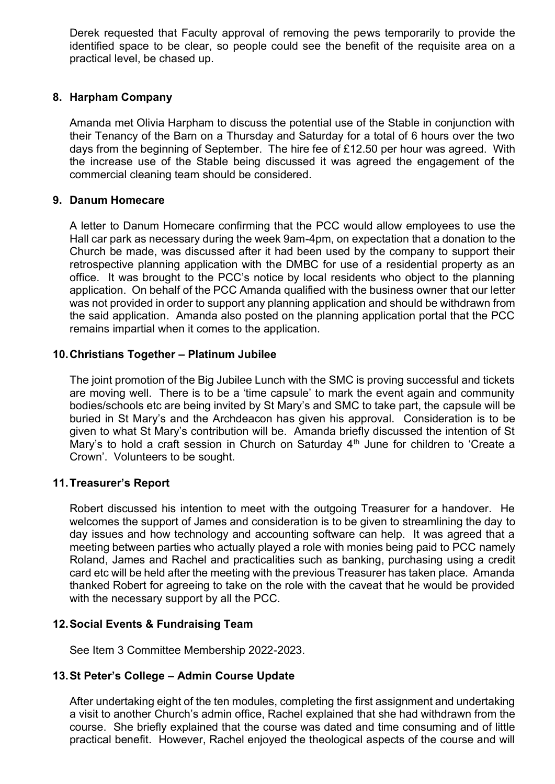Derek requested that Faculty approval of removing the pews temporarily to provide the identified space to be clear, so people could see the benefit of the requisite area on a practical level, be chased up.

## **8. Harpham Company**

Amanda met Olivia Harpham to discuss the potential use of the Stable in conjunction with their Tenancy of the Barn on a Thursday and Saturday for a total of 6 hours over the two days from the beginning of September. The hire fee of £12.50 per hour was agreed. With the increase use of the Stable being discussed it was agreed the engagement of the commercial cleaning team should be considered.

### **9. Danum Homecare**

A letter to Danum Homecare confirming that the PCC would allow employees to use the Hall car park as necessary during the week 9am-4pm, on expectation that a donation to the Church be made, was discussed after it had been used by the company to support their retrospective planning application with the DMBC for use of a residential property as an office. It was brought to the PCC's notice by local residents who object to the planning application. On behalf of the PCC Amanda qualified with the business owner that our letter was not provided in order to support any planning application and should be withdrawn from the said application. Amanda also posted on the planning application portal that the PCC remains impartial when it comes to the application.

## **10.Christians Together – Platinum Jubilee**

The joint promotion of the Big Jubilee Lunch with the SMC is proving successful and tickets are moving well. There is to be a 'time capsule' to mark the event again and community bodies/schools etc are being invited by St Mary's and SMC to take part, the capsule will be buried in St Mary's and the Archdeacon has given his approval. Consideration is to be given to what St Mary's contribution will be. Amanda briefly discussed the intention of St Mary's to hold a craft session in Church on Saturday  $4<sup>th</sup>$  June for children to 'Create a Crown'. Volunteers to be sought.

#### **11.Treasurer's Report**

Robert discussed his intention to meet with the outgoing Treasurer for a handover. He welcomes the support of James and consideration is to be given to streamlining the day to day issues and how technology and accounting software can help. It was agreed that a meeting between parties who actually played a role with monies being paid to PCC namely Roland, James and Rachel and practicalities such as banking, purchasing using a credit card etc will be held after the meeting with the previous Treasurer has taken place. Amanda thanked Robert for agreeing to take on the role with the caveat that he would be provided with the necessary support by all the PCC.

## **12.Social Events & Fundraising Team**

See Item 3 Committee Membership 2022-2023.

## **13.St Peter's College – Admin Course Update**

After undertaking eight of the ten modules, completing the first assignment and undertaking a visit to another Church's admin office, Rachel explained that she had withdrawn from the course. She briefly explained that the course was dated and time consuming and of little practical benefit. However, Rachel enjoyed the theological aspects of the course and will